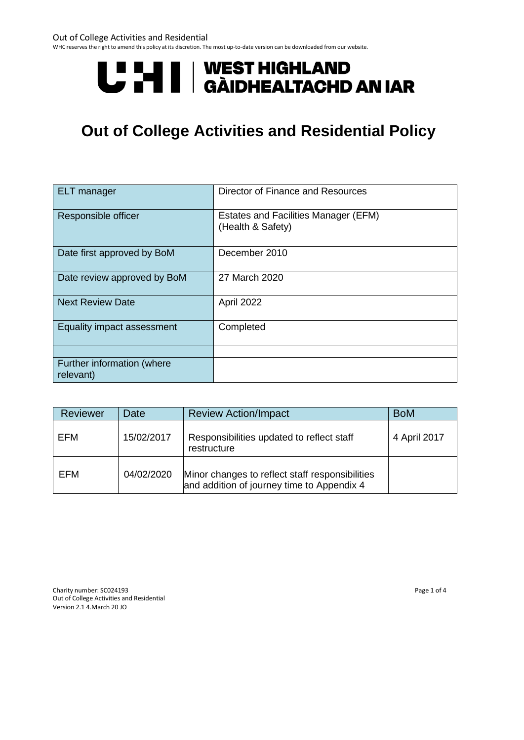#### Out of College Activities and Residential

WHC reserves the right to amend this policy at its discretion. The most up-to-date version can be downloaded from our website.

# U HI | WEST HIGHLAND<br>U HI | GÀIDHEALTACHD AN IAR

## **Out of College Activities and Residential Policy**

| <b>ELT</b> manager                      | Director of Finance and Resources                                |
|-----------------------------------------|------------------------------------------------------------------|
| Responsible officer                     | <b>Estates and Facilities Manager (EFM)</b><br>(Health & Safety) |
| Date first approved by BoM              | December 2010                                                    |
| Date review approved by BoM             | 27 March 2020                                                    |
| <b>Next Review Date</b>                 | April 2022                                                       |
| Equality impact assessment              | Completed                                                        |
|                                         |                                                                  |
| Further information (where<br>relevant) |                                                                  |

| Reviewer | Date       | <b>Review Action/Impact</b>                                                                   | <b>BoM</b>   |
|----------|------------|-----------------------------------------------------------------------------------------------|--------------|
| EFM      | 15/02/2017 | Responsibilities updated to reflect staff<br>restructure                                      | 4 April 2017 |
| EFM      | 04/02/2020 | Minor changes to reflect staff responsibilities<br>and addition of journey time to Appendix 4 |              |

Charity number: SC024193 Page 1 of 4 Out of College Activities and Residential Version 2.1 4.March 20 JO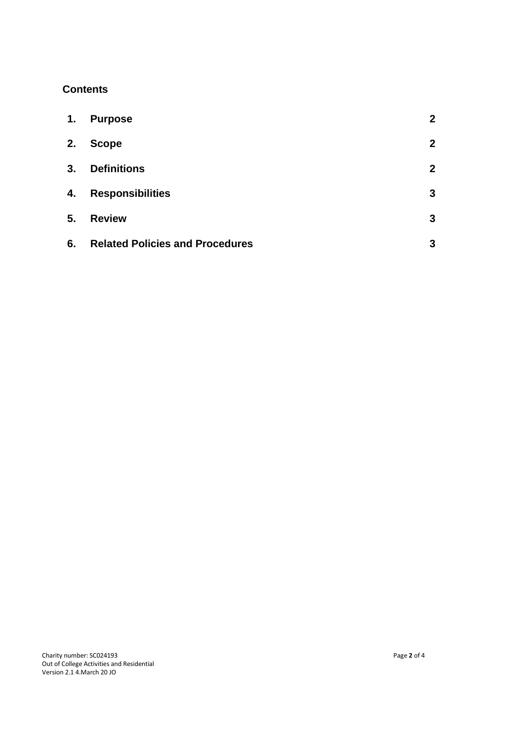### **Contents**

| 1. | <b>Purpose</b>                         | $\boldsymbol{2}$ |
|----|----------------------------------------|------------------|
| 2. | <b>Scope</b>                           | $\overline{2}$   |
| 3. | <b>Definitions</b>                     | $\boldsymbol{2}$ |
| 4. | <b>Responsibilities</b>                | $\mathbf{3}$     |
| 5. | <b>Review</b>                          | $\mathbf{3}$     |
| 6. | <b>Related Policies and Procedures</b> | 3                |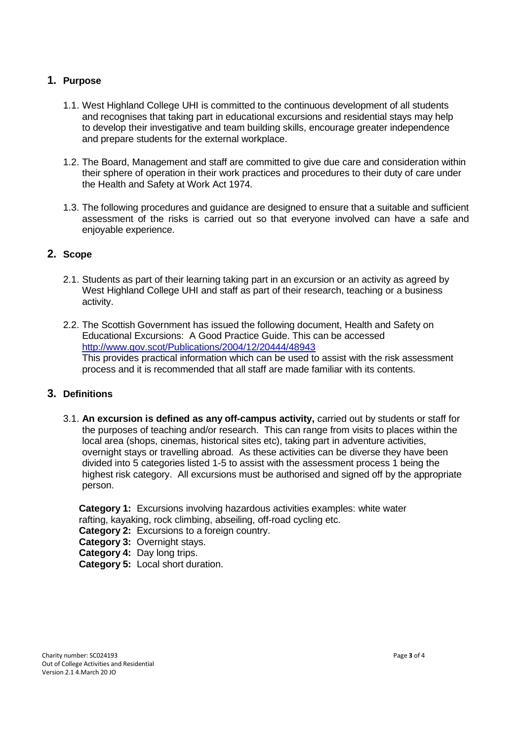#### **1. Purpose**

- 1.1. West Highland College UHI is committed to the continuous development of all students and recognises that taking part in educational excursions and residential stays may help to develop their investigative and team building skills, encourage greater independence and prepare students for the external workplace.
- 1.2. The Board, Management and staff are committed to give due care and consideration within their sphere of operation in their work practices and procedures to their duty of care under the Health and Safety at Work Act 1974.
- 1.3. The following procedures and guidance are designed to ensure that a suitable and sufficient assessment of the risks is carried out so that everyone involved can have a safe and enjoyable experience.

#### **2. Scope**

- 2.1. Students as part of their learning taking part in an excursion or an activity as agreed by West Highland College UHI and staff as part of their research, teaching or a business activity.
- 2.2. The Scottish Government has issued the following document, Health and Safety on Educational Excursions: A Good Practice Guide. This can be accessed <http://www.gov.scot/Publications/2004/12/20444/48943> This provides practical information which can be used to assist with the risk assessment process and it is recommended that all staff are made familiar with its contents.

#### **3. Definitions**

3.1. **An excursion is defined as any off-campus activity,** carried out by students or staff for the purposes of teaching and/or research. This can range from visits to places within the local area (shops, cinemas, historical sites etc), taking part in adventure activities, overnight stays or travelling abroad. As these activities can be diverse they have been divided into 5 categories listed 1-5 to assist with the assessment process 1 being the highest risk category. All excursions must be authorised and signed off by the appropriate person.

**Category 1:** Excursions involving hazardous activities examples: white water rafting, kayaking, rock climbing, abseiling, off-road cycling etc.

**Category 2:** Excursions to a foreign country.

**Category 3:** Overnight stays.

**Category 4:** Day long trips.

**Category 5:** Local short duration.